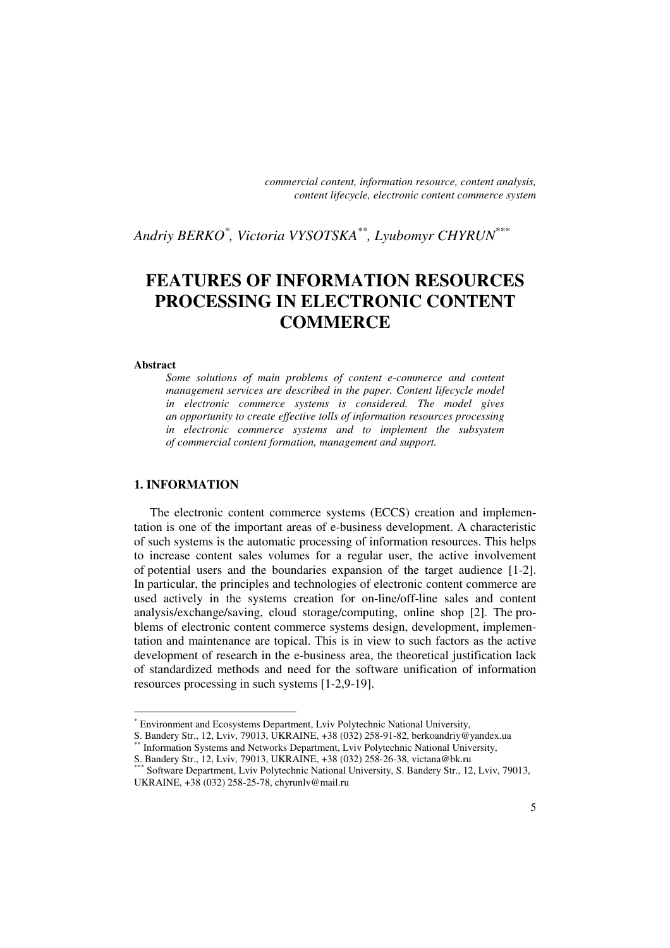*commercial content, information resource, content analysis, content lifecycle, electronic content commerce system* 

*Andriy BERKO\* , Victoria VYSOTSKA\*\*, Lyubomyr CHYRUN\*\*\**

# **FEATURES OF INFORMATION RESOURCES PROCESSING IN ELECTRONIC CONTENT COMMERCE**

#### **Abstract**

 $\overline{a}$ 

*Some solutions of main problems of content e-commerce and content management services are described in the paper. Content lifecycle model in electronic commerce systems is considered. The model gives an opportunity to create effective tolls of information resources processing in electronic commerce systems and to implement the subsystem of commercial content formation, management and support.* 

## **1. INFORMATION**

The electronic content commerce systems (ECCS) creation and implementation is one of the important areas of e-business development. A characteristic of such systems is the automatic processing of information resources. This helps to increase content sales volumes for a regular user, the active involvement of potential users and the boundaries expansion of the target audience [1-2]. In particular, the principles and technologies of electronic content commerce are used actively in the systems creation for on-line/off-line sales and content analysis/exchange/saving, сloud storage/computing, online shop [2]. The problems of electronic content commerce systems design, development, implementation and maintenance are topical. This is in view to such factors as the active development of research in the e-business area, the theoretical justification lack of standardized methods and need for the software unification of information resources processing in such systems [1-2,9-19].

S. Bandery Str., 12, Lviv, 79013, UKRAINE, +38 (032) 258-91-82, berkoandriy@yandex.ua Information Systems and Networks Department, Lviv Polytechnic National University, S. Bandery Str., 12, Lviv, 79013, UKRAINE, +38 (032) 258-26-38, victana@bk.ru

<sup>\*</sup> Environment and Ecosystems Department, Lviv Polytechnic National University,

Software Department, Lviv Polytechnic National University, S. Bandery Str., 12, Lviv, 79013, UKRAINE, +38 (032) 258-25-78, chyrunlv@mail.ru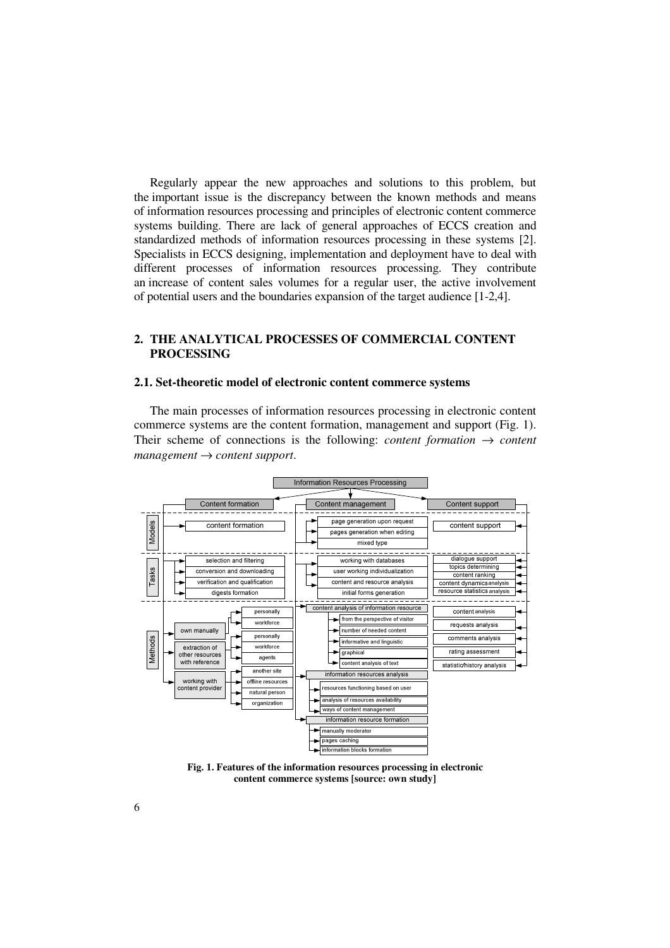Regularly appear the new approaches and solutions to this problem, but the important issue is the discrepancy between the known methods and means of information resources processing and principles of electronic content commerce systems building. There are lack of general approaches of ECCS creation and standardized methods of information resources processing in these systems [2]. Specialists in ECCS designing, implementation and deployment have to deal with different processes of information resources processing. They contribute an increase of content sales volumes for a regular user, the active involvement of potential users and the boundaries expansion of the target audience [1-2,4].

# **2. THE ANALYTICAL PROCESSES OF COMMERCIAL CONTENT PROCESSING**

#### **2.1. Set-theoretic model of electronic content commerce systems**

The main processes of information resources processing in electronic content commerce systems are the content formation, management and support (Fig. 1). Their scheme of connections is the following: *content formation*  $\rightarrow$  *content management* → *content support*.



**Fig. 1. Features of the information resources processing in electronic content commerce systems [source: own study]**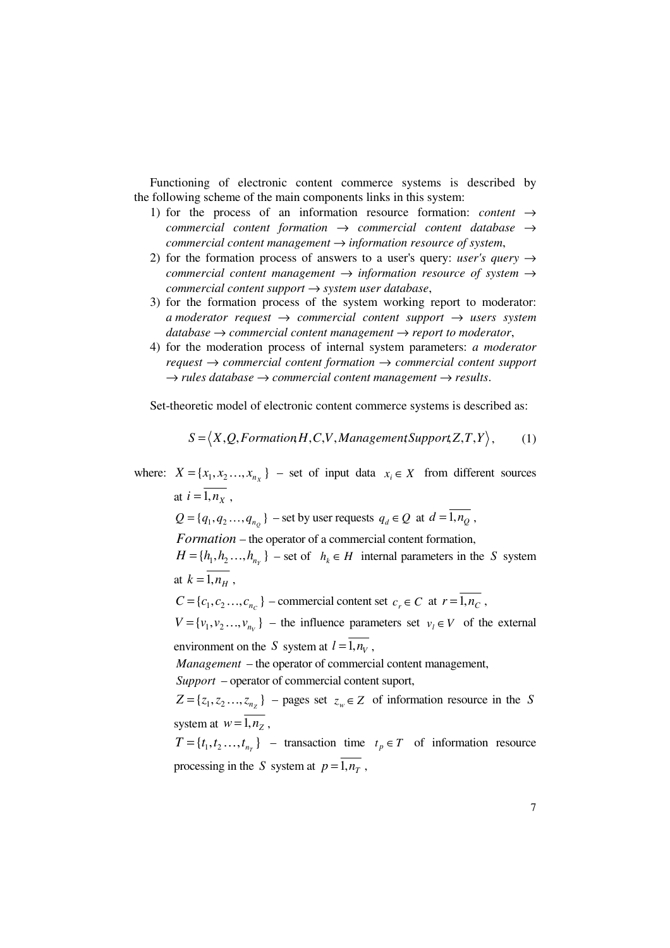Functioning of electronic content commerce systems is described by the following scheme of the main components links in this system:

- 1) for the process of an information resource formation: *content* → *commercial content formation* → *commercial content database* → *commercial content management* → *information resource of system*,
- 2) for the formation process of answers to a user's query: *user's query*  $\rightarrow$ *commercial content management* → *information resource of system* → *commercial content support* → *system user database*,
- 3) for the formation process of the system working report to moderator: *a moderator request* → *commercial content support* → *users system database* → *commercial content management* → *report to moderator*,
- 4) for the moderation process of internal system parameters: *a moderator request* → *commercial content formation* → *commercial content support*  $\rightarrow$  *rules database*  $\rightarrow$  *commercial content management*  $\rightarrow$  *results.*

Set-theoretic model of electronic content commerce systems is described as:

$$
S = \langle X, Q, \text{Formation} H, C, V, \text{ManagementSupport} Z, T, Y \rangle, \tag{1}
$$

where:  $X = \{x_1, x_2, ..., x_{n_X}\}\$  – set of input data  $x_i \in X$  from different sources at  $i = \overline{1, n_X}$ ,  $Q = \{q_1, q_2, \ldots, q_{n_Q}\}$  – set by user requests  $q_d \in Q$  at  $d = \overline{1, n_Q}$ , *Formation* – the operator of a commercial content formation,  $H = \{h_1, h_2, \ldots, h_{n_Y}\}$  – set of  $h_k \in H$  internal parameters in the *S* system at  $k = \overline{1, n_H}$ ,  $C = \{c_1, c_2, \ldots, c_{n_c}\}\$  – commercial content set  $c_r \in C$  at  $r = \overline{1, n_c}$ ,  $V = \{v_1, v_2, \dots, v_{n_v}\}\$  – the influence parameters set  $v_i \in V$  of the external environment on the *S* system at  $l = \overline{1, n_v}$ , *Management* – the operator of commercial content management, *Support* – operator of commercial content suport,  $Z = \{z_1, z_2, \dots, z_{n_z}\}\$  – pages set  $z_w \in Z$  of information resource in the *S* system at  $w = \overline{1, n_{7}}$ ,

 $T = \{t_1, t_2, \dots, t_{n_T}\}$  – transaction time  $t_p \in T$  of information resource processing in the *S* system at  $p = \overline{1, n_T}$ ,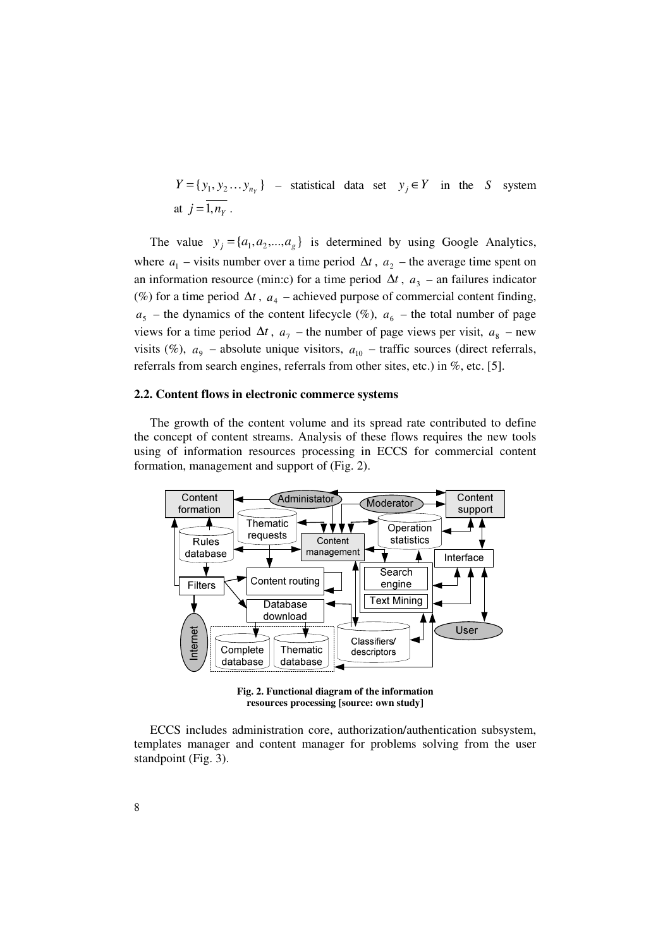$Y = \{ y_1, y_2 \dots y_{n_Y} \}$  – statistical data set  $y_j \in Y$  in the *S* system at  $j = \overline{1, n_Y}$ .

The value  $y_j = \{a_1, a_2, ..., a_g\}$  is determined by using Google Analytics, where  $a_1$  – visits number over a time period  $\Delta t$ ,  $a_2$  – the average time spent on an information resource (min:c) for a time period  $\Delta t$ ,  $a_3$  – an failures indicator (%) for a time period  $\Delta t$ ,  $a_4$  – achieved purpose of commercial content finding,  $a_5$  – the dynamics of the content lifecycle (%),  $a_6$  – the total number of page views for a time period  $\Delta t$ ,  $a_7$  – the number of page views per visit,  $a_8$  – new visits (%),  $a_9$  – absolute unique visitors,  $a_{10}$  – traffic sources (direct referrals, referrals from search engines, referrals from other sites, etc.) in %, etc. [5].

#### **2.2. Content flows in electronic commerce systems**

The growth of the content volume and its spread rate contributed to define the concept of content streams. Analysis of these flows requires the new tools using of information resources processing in ECCS for commercial content formation, management and support of (Fig. 2).



**Fig. 2. Functional diagram of the information resources processing [source: own study]** 

ECCS includes administration core, authorization/authentication subsystem, templates manager and content manager for problems solving from the user standpoint (Fig. 3).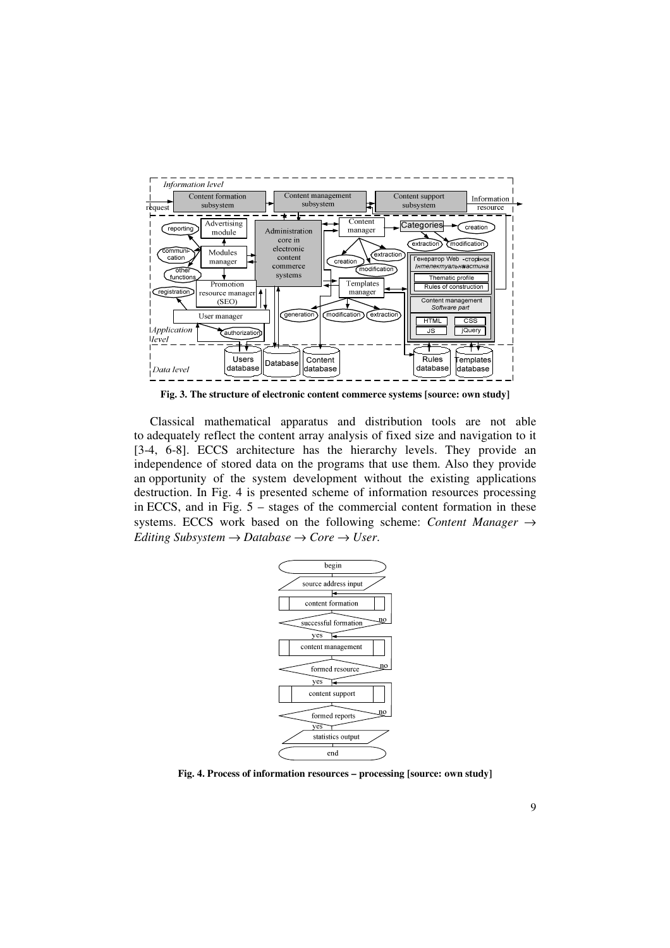

**Fig. 3. The structure of electronic content commerce systems [source: own study]** 

Classical mathematical apparatus and distribution tools are not able to adequately reflect the content array analysis of fixed size and navigation to it [3-4, 6-8]. ECCS architecture has the hierarchy levels. They provide an independence of stored data on the programs that use them. Also they provide an opportunity of the system development without the existing applications destruction. In Fig. 4 is presented scheme of information resources processing in ECCS, and in Fig. 5 – stages of the commercial content formation in these systems. ECCS work based on the following scheme: *Content Manager* → *Editing Subsystem*  $\rightarrow$  *Database*  $\rightarrow$  *Core*  $\rightarrow$  *User.* 



**Fig. 4. Process of information resources – processing [source: own study]**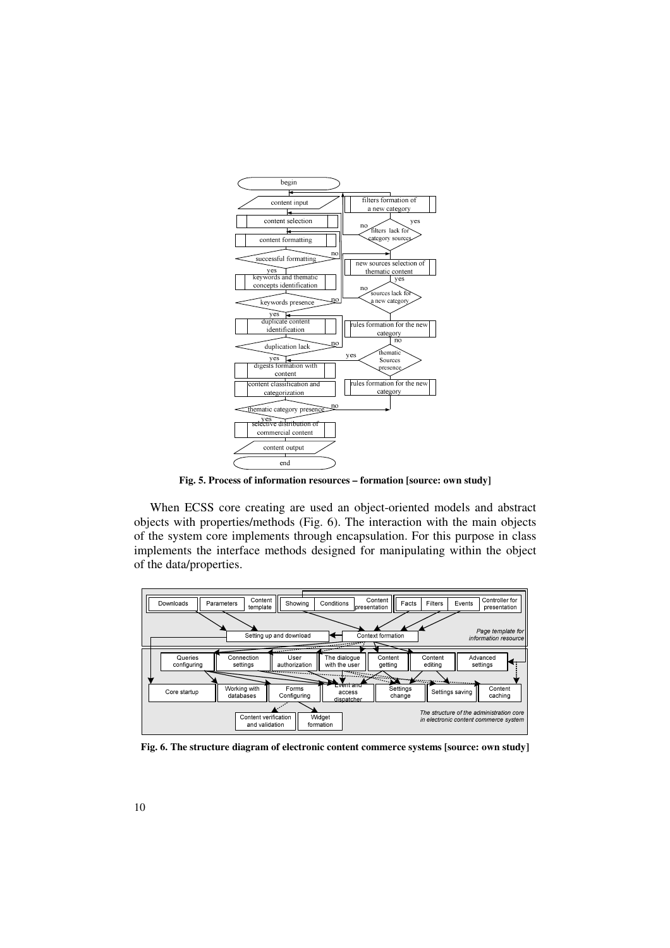

**Fig. 5. Process of information resources – formation [source: own study]** 

When ECSS core creating are used an object-oriented models and abstract objects with properties/methods (Fig. 6). The interaction with the main objects of the system core implements through encapsulation. For this purpose in class implements the interface methods designed for manipulating within the object of the data/properties.



**Fig. 6. The structure diagram of electronic content commerce systems [source: own study]**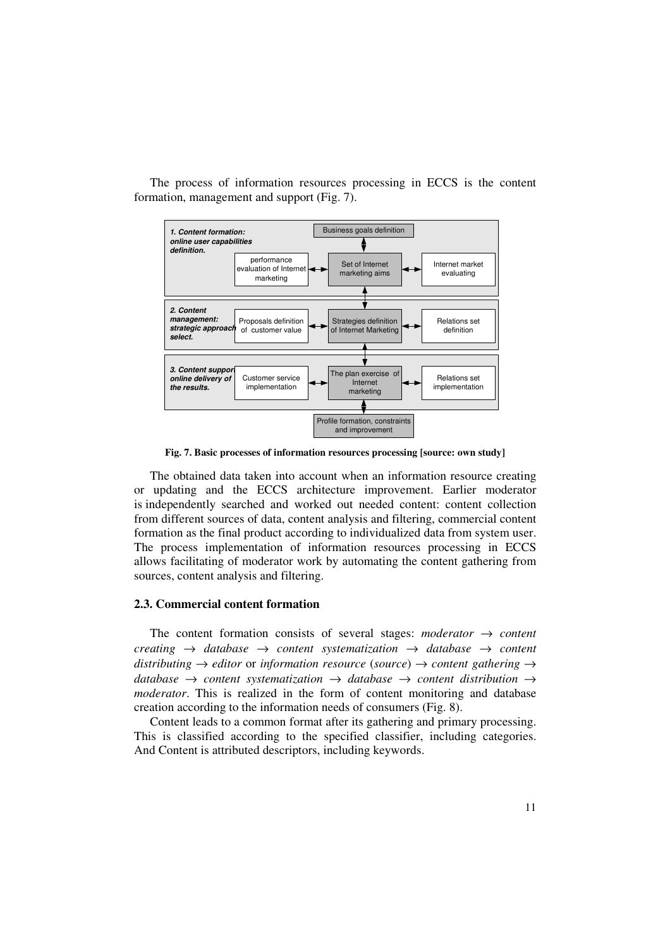

The process of information resources processing in ECCS is the content formation, management and support (Fig. 7).

**Fig. 7. Basic processes of information resources processing [source: own study]** 

The obtained data taken into account when an information resource creating or updating and the ECCS architecture improvement. Earlier moderator is independently searched and worked out needed content: content collection from different sources of data, content analysis and filtering, commercial content formation as the final product according to individualized data from system user. The process implementation of information resources processing in ECCS allows facilitating of moderator work by automating the content gathering from sources, content analysis and filtering.

#### **2.3. Commercial content formation**

The content formation consists of several stages: *moderator*  $\rightarrow$  *content creating* → *database* → *content systematization* → *database* → *content distributing* → *editor* or *information resource* (*source*) → *content gathering* → *database* → *content systematization* → *database* → *content distribution* → *moderator*. This is realized in the form of content monitoring and database creation according to the information needs of consumers (Fig. 8).

Content leads to a common format after its gathering and primary processing. This is classified according to the specified classifier, including categories. And Content is attributed descriptors, including keywords.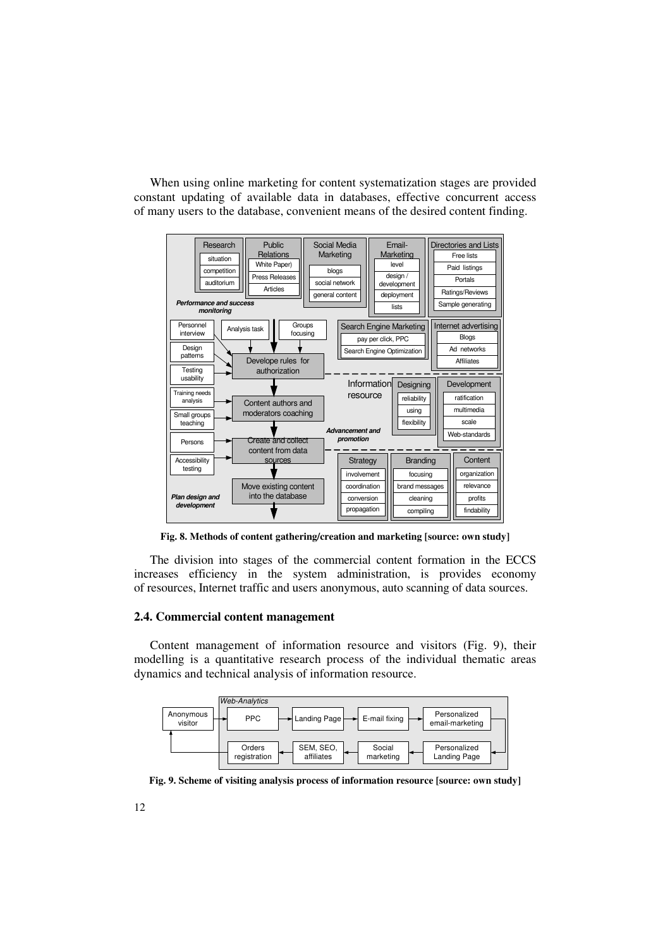When using online marketing for content systematization stages are provided constant updating of available data in databases, effective concurrent access of many users to the database, convenient means of the desired content finding.



**Fig. 8. Methods of content gathering/creation and marketing [source: own study]** 

The division into stages of the commercial content formation in the ECCS increases efficiency in the system administration, is provides economy of resources, Internet traffic and users anonymous, auto scanning of data sources.

## **2.4. Commercial content management**

Content management of information resource and visitors (Fig. 9), their modelling is a quantitative research process of the individual thematic areas dynamics and technical analysis of information resource.



**Fig. 9. Scheme of visiting analysis process of information resource [source: own study]**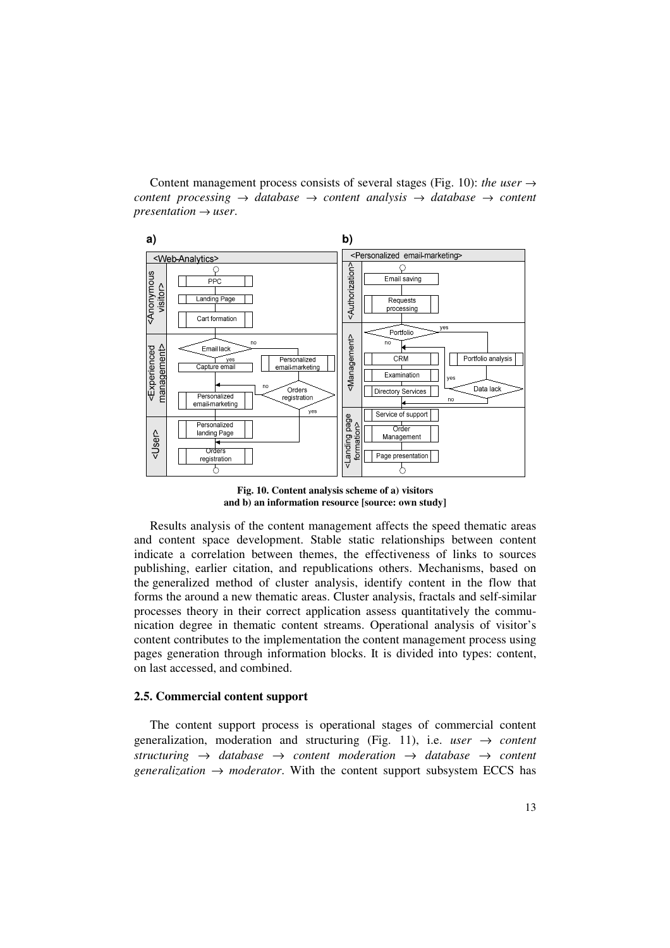Content management process consists of several stages (Fig. 10): *the user*  $\rightarrow$ *content processing* → *database* → *content analysis* → *database* → *content*   $presentation \rightarrow user$ .



**Fig. 10. Content analysis scheme of a) visitors and b) an information resource [source: own study]** 

Results analysis of the content management affects the speed thematic areas and content space development. Stable static relationships between content indicate a correlation between themes, the effectiveness of links to sources publishing, earlier citation, and republications others. Mechanisms, based on the generalized method of cluster analysis, identify content in the flow that forms the around a new thematic areas. Cluster analysis, fractals and self-similar processes theory in their correct application assess quantitatively the communication degree in thematic content streams. Operational analysis of visitor's content contributes to the implementation the content management process using pages generation through information blocks. It is divided into types: content, on last accessed, and combined.

### **2.5. Commercial content support**

The content support process is operational stages of commercial content generalization, moderation and structuring (Fig. 11), i.e. *user* → *content structuring* → *database* → *content moderation* → *database* → *content generalization*  $\rightarrow$  *moderator*. With the content support subsystem ECCS has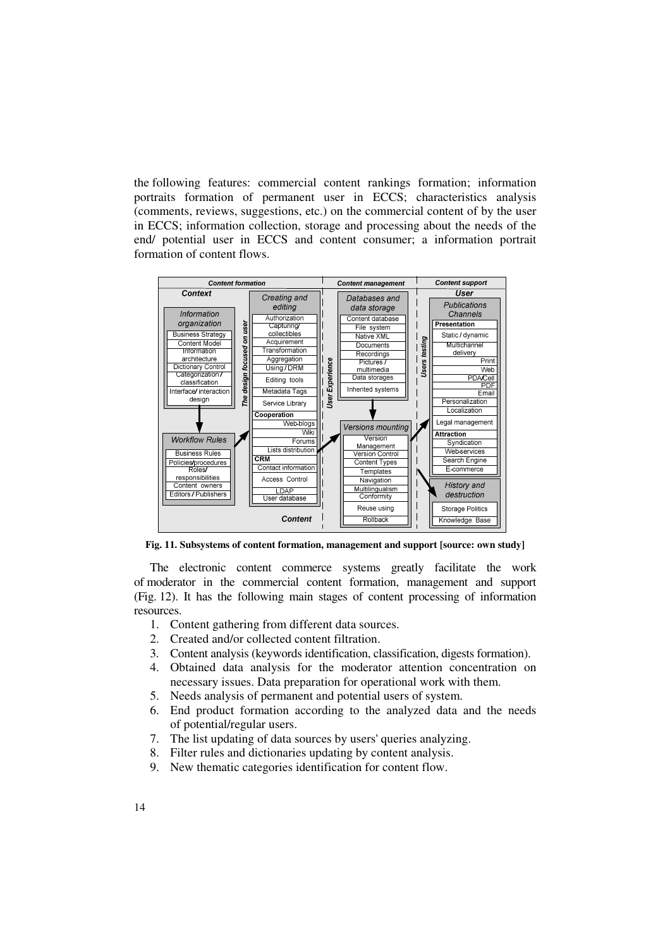the following features: commercial content rankings formation; information portraits formation of permanent user in ECCS; characteristics analysis (comments, reviews, suggestions, etc.) on the commercial content of by the user in ECCS; information collection, storage and processing about the needs of the end/ potential user in ECCS and content consumer; a information portrait formation of content flows.



**Fig. 11. Subsystems of content formation, management and support [source: own study]** 

The electronic content commerce systems greatly facilitate the work of moderator in the commercial content formation, management and support (Fig. 12). It has the following main stages of content processing of information resources.

- 1. Content gathering from different data sources.
- 2. Created and/or collected content filtration.
- 3. Content analysis (keywords identification, classification, digests formation).
- 4. Obtained data analysis for the moderator attention concentration on necessary issues. Data preparation for operational work with them.
- 5. Needs analysis of permanent and potential users of system.
- 6. End product formation according to the analyzed data and the needs of potential/regular users.
- 7. The list updating of data sources by users' queries analyzing.
- 8. Filter rules and dictionaries updating by content analysis.
- 9. New thematic categories identification for content flow.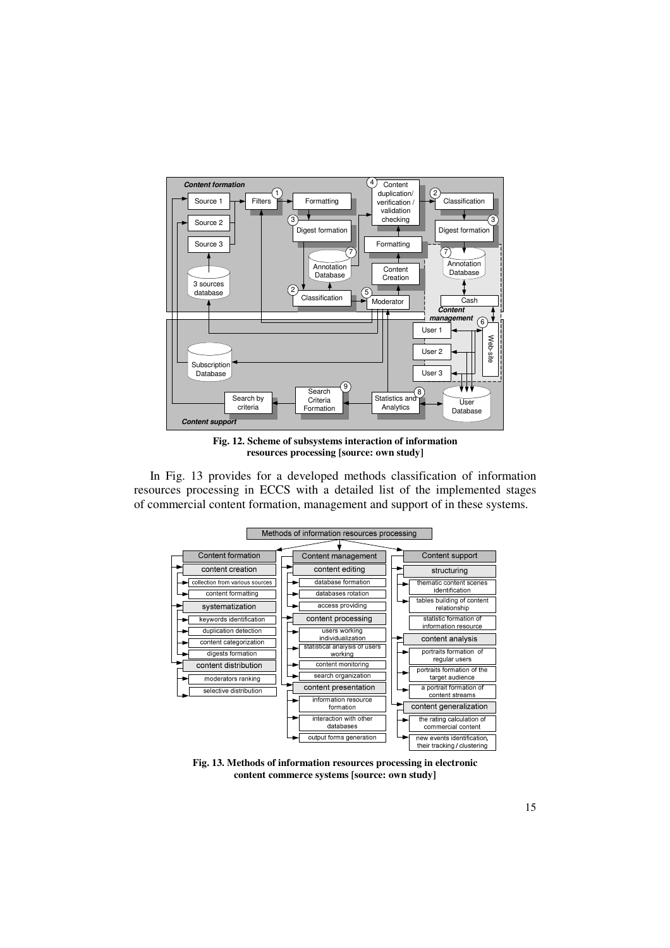

**Fig. 12. Scheme of subsystems interaction of information resources processing [source: own study]** 

In Fig. 13 provides for a developed methods classification of information resources processing in ECCS with a detailed list of the implemented stages of commercial content formation, management and support of in these systems.



**Fig. 13. Methods of information resources processing in electronic content commerce systems [source: own study]**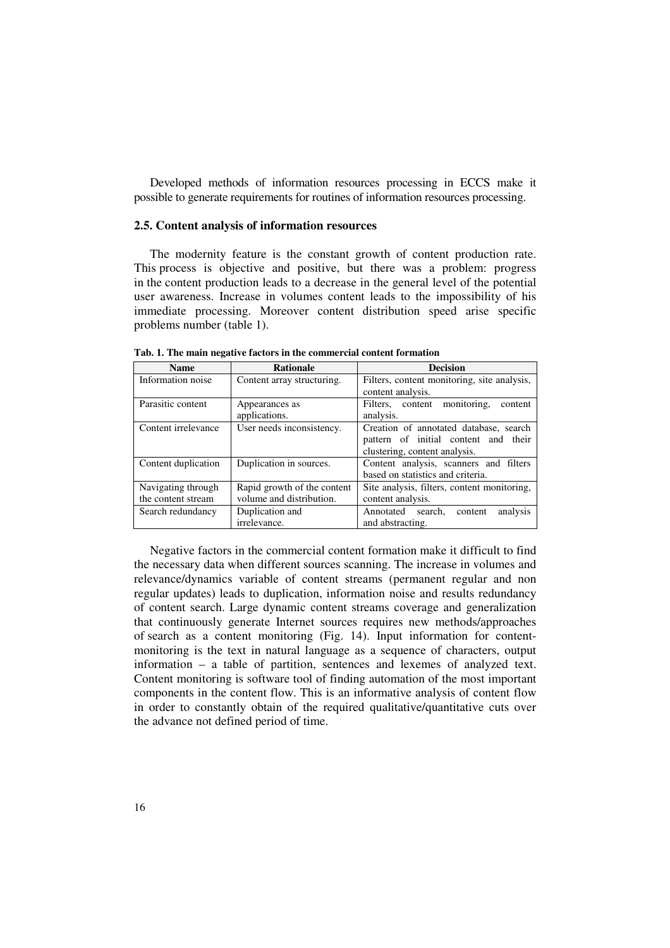Developed methods of information resources processing in ECCS make it possible to generate requirements for routines of information resources processing.

### **2.5. Content analysis of information resources**

The modernity feature is the constant growth of content production rate. This process is objective and positive, but there was a problem: progress in the content production leads to a decrease in the general level of the potential user awareness. Increase in volumes content leads to the impossibility of his immediate processing. Moreover content distribution speed arise specific problems number (table 1).

| <b>Name</b>         | <b>Rationale</b>            | <b>Decision</b>                             |
|---------------------|-----------------------------|---------------------------------------------|
| Information noise   | Content array structuring.  | Filters, content monitoring, site analysis, |
|                     |                             | content analysis.                           |
| Parasitic content   | Appearances as              | Filters, content monitoring,<br>content     |
|                     | applications.               | analysis.                                   |
| Content irrelevance | User needs inconsistency.   | Creation of annotated database, search      |
|                     |                             | pattern of initial content and their        |
|                     |                             | clustering, content analysis.               |
| Content duplication | Duplication in sources.     | Content analysis, scanners and filters      |
|                     |                             | based on statistics and criteria.           |
| Navigating through  | Rapid growth of the content | Site analysis, filters, content monitoring, |
| the content stream  | volume and distribution.    | content analysis.                           |
| Search redundancy   | Duplication and             | Annotated search,<br>analysis<br>content    |
|                     | irrelevance.                | and abstracting.                            |

**Tab. 1. The main negative factors in the commercial content formation** 

Negative factors in the commercial content formation make it difficult to find the necessary data when different sources scanning. The increase in volumes and relevance/dynamics variable of content streams (permanent regular and non regular updates) leads to duplication, information noise and results redundancy of content search. Large dynamic content streams coverage and generalization that continuously generate Internet sources requires new methods/approaches of search as a content monitoring (Fig. 14). Input information for contentmonitoring is the text in natural language as a sequence of characters, output information – a table of partition, sentences and lexemes of analyzed text. Content monitoring is software tool of finding automation of the most important components in the content flow. This is an informative analysis of content flow in order to constantly obtain of the required qualitative/quantitative cuts over the advance not defined period of time.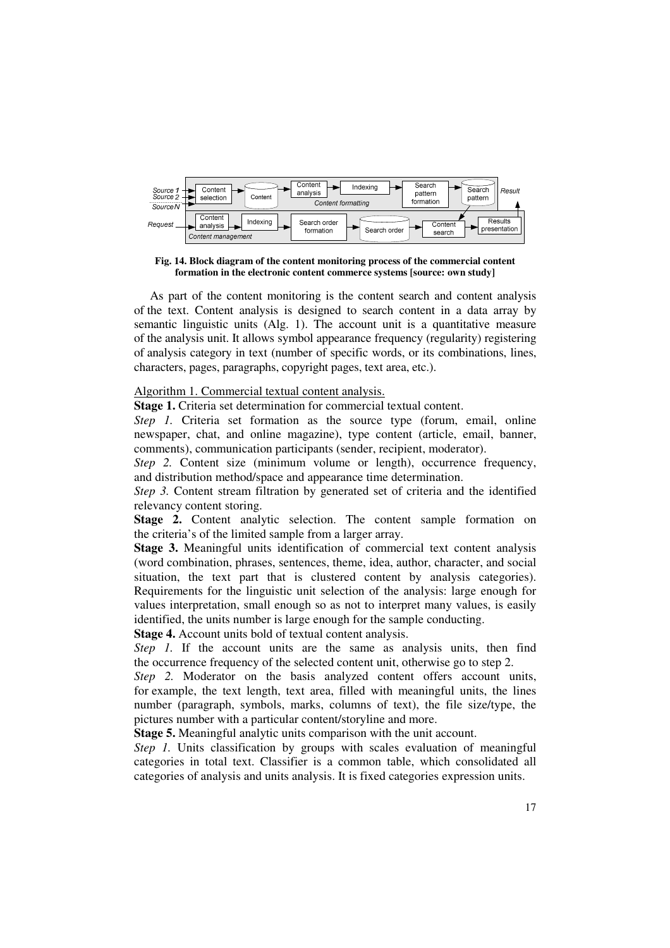

**Fig. 14. Block diagram of the content monitoring process of the commercial content formation in the electronic content commerce systems [source: own study]** 

As part of the content monitoring is the content search and content analysis of the text. Content analysis is designed to search content in a data array by semantic linguistic units (Alg. 1). The account unit is a quantitative measure of the analysis unit. It allows symbol appearance frequency (regularity) registering of analysis category in text (number of specific words, or its combinations, lines, characters, pages, paragraphs, copyright pages, text area, etc.).

## Algorithm 1. Commercial textual content analysis.

**Stage 1.** Criteria set determination for commercial textual content.

*Step 1.* Criteria set formation as the source type (forum, email, online newspaper, chat, and online magazine), type content (article, email, banner, comments), communication participants (sender, recipient, moderator).

*Step 2.* Content size (minimum volume or length), occurrence frequency, and distribution method/space and appearance time determination.

*Step 3.* Content stream filtration by generated set of criteria and the identified relevancy content storing.

**Stage 2.** Content analytic selection. The content sample formation on the criteria's of the limited sample from a larger array.

**Stage 3.** Meaningful units identification of commercial text content analysis (word combination, phrases, sentences, theme, idea, author, character, and social situation, the text part that is clustered content by analysis categories). Requirements for the linguistic unit selection of the analysis: large enough for values interpretation, small enough so as not to interpret many values, is easily identified, the units number is large enough for the sample conducting.

**Stage 4.** Account units bold of textual content analysis.

*Step 1.* If the account units are the same as analysis units, then find the occurrence frequency of the selected content unit, otherwise go to step 2.

*Step 2.* Moderator on the basis analyzed content offers account units, for example, the text length, text area, filled with meaningful units, the lines number (paragraph, symbols, marks, columns of text), the file size/type, the pictures number with a particular content/storyline and more.

**Stage 5.** Meaningful analytic units comparison with the unit account.

*Step 1.* Units classification by groups with scales evaluation of meaningful categories in total text. Classifier is a common table, which consolidated all categories of analysis and units analysis. It is fixed categories expression units.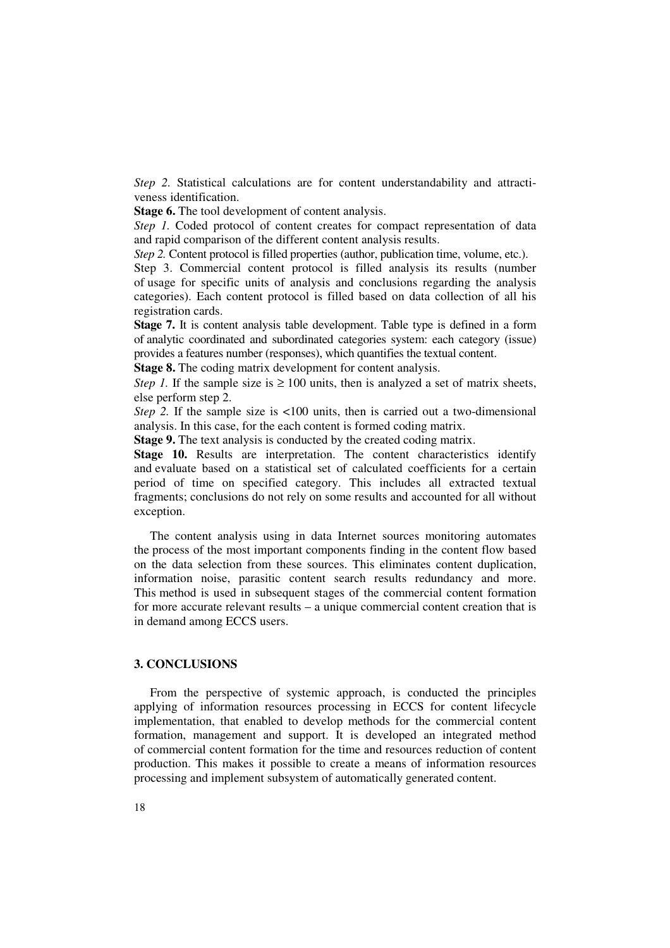*Step 2.* Statistical calculations are for content understandability and attractiveness identification.

**Stage 6.** The tool development of content analysis.

*Step 1.* Coded protocol of content creates for compact representation of data and rapid comparison of the different content analysis results.

*Step 2.* Content protocol is filled properties (author, publication time, volume, etc.).

Step 3. Commercial content protocol is filled analysis its results (number of usage for specific units of analysis and conclusions regarding the analysis categories). Each content protocol is filled based on data collection of all his registration cards.

**Stage 7.** It is content analysis table development. Table type is defined in a form of analytic coordinated and subordinated categories system: each category (issue) provides a features number (responses), which quantifies the textual content.

**Stage 8.** The coding matrix development for content analysis.

*Step 1.* If the sample size is  $\geq 100$  units, then is analyzed a set of matrix sheets, else perform step 2.

*Step 2.* If the sample size is  $\langle 100 \text{ units}, \text{ then is carried out a two-dimensional}$ analysis. In this case, for the each content is formed coding matrix.

**Stage 9.** The text analysis is conducted by the created coding matrix.

**Stage 10.** Results are interpretation. The content characteristics identify and evaluate based on a statistical set of calculated coefficients for a certain period of time on specified category. This includes all extracted textual fragments; conclusions do not rely on some results and accounted for all without exception.

The content analysis using in data Internet sources monitoring automates the process of the most important components finding in the content flow based on the data selection from these sources. This eliminates content duplication, information noise, parasitic content search results redundancy and more. This method is used in subsequent stages of the commercial content formation for more accurate relevant results – a unique commercial content creation that is in demand among ECCS users.

## **3. CONCLUSIONS**

From the perspective of systemic approach, is conducted the principles applying of information resources processing in ECCS for content lifecycle implementation, that enabled to develop methods for the commercial content formation, management and support. It is developed an integrated method of commercial content formation for the time and resources reduction of content production. This makes it possible to create a means of information resources processing and implement subsystem of automatically generated content.